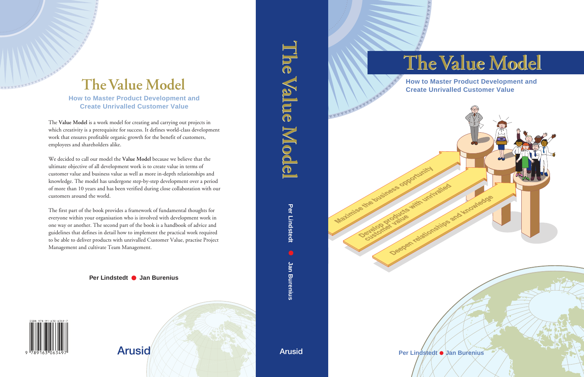# **The Value Model The Value Model**

**How to Master Product Development and Create Unrivalled Customer Value**

THE REAL PROPERTY AND REAL

Maximise the business opportunity

**Per Lindstedt Jan Burenius**

With Unit Valed

Deepen relationships and knowledge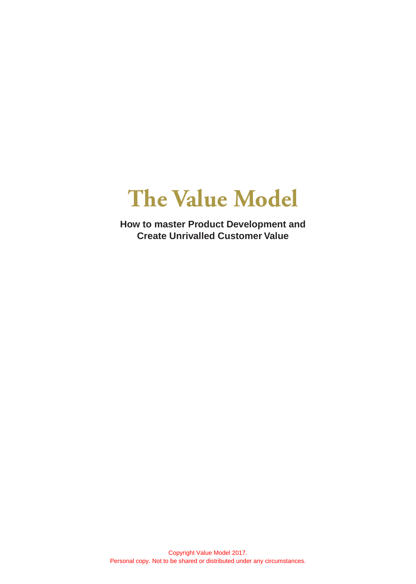## **The Value Model**

**How to master Product Development and Create Unrivalled Customer Value**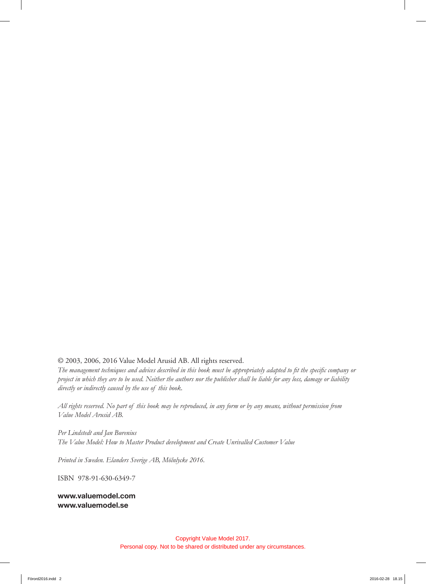#### © 2003, 2006, 2016 Value Model Arusid AB. All rights reserved.

*The management techniques and advices described in this book must be appropriately adapted to fit the specific company or project in which they are to be used. Neither the authors nor the publisher shall be liable for any loss, damage or liability directly or indirectly caused by the use of this book.*

*All rights reserved. No part of this book may be reproduced, in any form or by any means, without permission from Value Model Arusid AB.*

*Per Lindstedt and Jan Burenius The Value Model: How to Master Product development and Create Unrivalled Customer Value* 

*Printed in Sweden. Elanders Sverige AB, Mölnlycke 2016.*

ISBN 978-91-630-6349-7

**www.valuemodel.com www.valuemodel.se**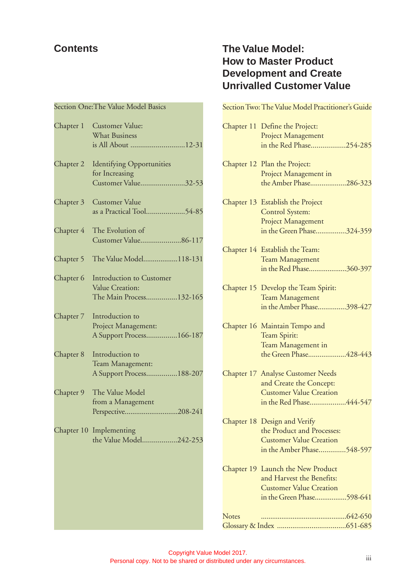## **Contents**

## Section One:The Value Model Basics

| Chapter 1 | Customer Value:<br><b>What Business</b><br>is All About 12-31             |
|-----------|---------------------------------------------------------------------------|
| Chapter 2 | <b>Identifying Opportunities</b><br>for Increasing<br>Customer Value32-53 |
| Chapter 3 | <b>Customer Value</b><br>as a Practical Tool54-85                         |
| Chapter 4 | The Evolution of<br>Customer Value86-117                                  |
| Chapter 5 | The Value Model118-131                                                    |
| Chapter 6 | Introduction to Customer<br>Value Creation:<br>The Main Process132-165    |
| Chapter 7 | Introduction to<br>Project Management:<br>A Support Process166-187        |
| Chapter 8 | Introduction to<br>Team Management:<br>A Support Process188-207           |
| Chapter 9 | The Value Model<br>from a Management<br>Perspective208-241                |
|           | Chapter 10 Implementing<br>the Value Model242-253                         |
|           |                                                                           |

## **The Value Model: How to Master Product Development and Create Unrivalled Customer Value**

|              | Section Two: The Value Model Practitioner's Guide                                                                                |
|--------------|----------------------------------------------------------------------------------------------------------------------------------|
|              | Chapter 11 Define the Project:<br>Project Management<br>in the Red Phase254-285                                                  |
|              | Chapter 12 Plan the Project:<br>Project Management in<br>the Amber Phase286-323                                                  |
| Chapter 13   | Establish the Project<br><b>Control System:</b><br>Project Management<br>in the Green Phase324-359                               |
|              | Chapter 14 Establish the Team:<br><b>Team Management</b><br>in the Red Phase360-397                                              |
|              | Chapter 15 Develop the Team Spirit:<br><b>Team Management</b><br>in the Amber Phase398-427                                       |
|              | Chapter 16 Maintain Tempo and<br>Team Spirit:<br>Team Management in<br>the Green Phase428-443                                    |
|              | <b>Chapter 17 Analyse Customer Needs</b><br>and Create the Concept:<br><b>Customer Value Creation</b><br>in the Red Phase444-547 |
|              | Chapter 18 Design and Verify<br>the Product and Processes:<br><b>Customer Value Creation</b><br>in the Amber Phase548-597        |
|              | Chapter 19 Launch the New Product<br>and Harvest the Benefits:<br><b>Customer Value Creation</b><br>in the Green Phase598-641    |
| <b>Notes</b> |                                                                                                                                  |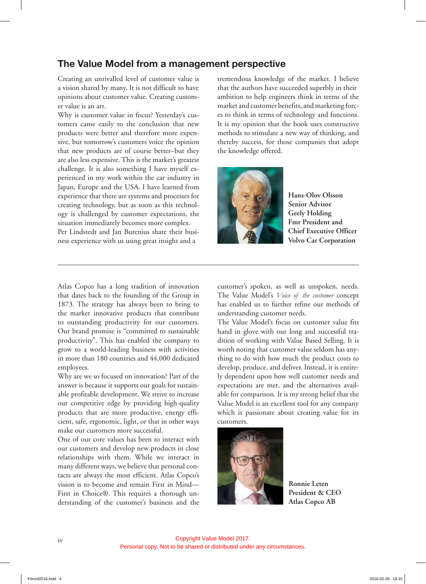## **The Value Model from a management perspective**

Creating an unrivalled level of customer value is a vision shared by many. It is not difficult to have opinions about customer value. Creating customer value is an art.

Why is customer value in focus? Yesterday's customers came easily to the conclusion that new products were better and therefore more expensive, but tomorrow's customers voice the opinion that new products are of course better–but they are also less expensive. This is the market's greatest challenge. It is also something I have myself experienced in my work within the car industry in Japan, Europe and the USA. I have learned from experience that there are systems and processes for creating technology, but as soon as this technology is challenged by customer expectations, the situation immediately becomes more complex. Per Lindstedt and Jan Burenius share their business experience with us using great insight and a

tremendous knowledge of the market. I believe that the authors have succeeded superbly in their ambition to help engineers think in terms of the market and customer benefits, and marketing forces to think in terms of technology and functions. It is my opinion that the book uses constructive methods to stimulate a new way of thinking, and thereby success, for those companies that adopt the knowledge offered.



**Hans-Olov Olsson Senior Advisor Geely Holding Fmr President and Chief Executive Officer Volvo Car Corporation**

Atlas Copco has a long tradition of innovation that dates back to the founding of the Group in 1873. The strategy has always been to bring to the market innovative products that contribute to outstanding productivity for our customers. Our brand promise is "committed to sustainable productivity". This has enabled the company to grow to a world-leading business with activities in more than 180 countries and 44,000 dedicated employees.

Why are we so focused on innovation? Part of the answer is because it supports our goals for sustainable profitable development. We strive to increase our competitive edge by providing high-quality products that are more productive, energy efficient, safe, ergonomic, light, or that in other ways make our customers more successful.

One of our core values has been to interact with our customers and develop new products in close relationships with them. While we interact in many different ways, we believe that personal contacts are always the most efficient. Atlas Copco's vision is to become and remain First in Mind— First in Choice®. This requires a thorough understanding of the customer's business and the customer's spoken, as well as unspoken, needs. The Value Model's *Voice of the customer* concept has enabled us to further refine our methods of understanding customer needs.

The Value Model's focus on customer value fits hand in glove with our long and successful tradition of working with Value Based Selling. It is worth noting that customer value seldom has anything to do with how much the product costs to develop, produce, and deliver. Instead, it is entirely dependent upon how well customer needs and expectations are met, and the alternatives available for comparison. It is my strong belief that the Value Model is an excellent tool for any company which is passionate about creating value for its customers.



**Ronnie Leten President & CEO Atlas Copco AB**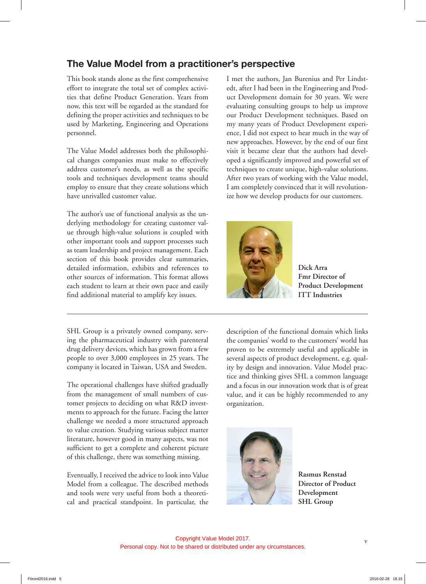## **The Value Model from a practitioner's perspective**

This book stands alone as the first comprehensive effort to integrate the total set of complex activities that define Product Generation. Years from now, this text will be regarded as the standard for defining the proper activities and techniques to be used by Marketing, Engineering and Operations personnel.

The Value Model addresses both the philosophical changes companies must make to effectively address customer's needs, as well as the specific tools and techniques development teams should employ to ensure that they create solutions which have unrivalled customer value.

The author's use of functional analysis as the underlying methodology for creating customer value through high-value solutions is coupled with other important tools and support processes such as team leadership and project management. Each section of this book provides clear summaries, detailed information, exhibits and references to other sources of information. This format allows each student to learn at their own pace and easily find additional material to amplify key issues.

SHL Group is a privately owned company, serving the pharmaceutical industry with parenteral drug delivery devices, which has grown from a few people to over 3,000 employees in 25 years. The company is located in Taiwan, USA and Sweden.

The operational challenges have shifted gradually from the management of small numbers of customer projects to deciding on what R&D investments to approach for the future. Facing the latter challenge we needed a more structured approach to value creation. Studying various subject matter literature, however good in many aspects, was not sufficient to get a complete and coherent picture of this challenge, there was something missing.

Eventually, I received the advice to look into Value Model from a colleague. The described methods and tools were very useful from both a theoretical and practical standpoint. In particular, the I met the authors, Jan Burenius and Per Lindstedt, after I had been in the Engineering and Product Development domain for 30 years. We were evaluating consulting groups to help us improve our Product Development techniques. Based on my many years of Product Development experience, I did not expect to hear much in the way of new approaches. However, by the end of our first visit it became clear that the authors had developed a significantly improved and powerful set of techniques to create unique, high-value solutions. After two years of working with the Value model, I am completely convinced that it will revolutionize how we develop products for our customers.



**Dick Arra Fmr Director of Product Development ITT Industries**

description of the functional domain which links the companies' world to the customers' world has proven to be extremely useful and applicable in several aspects of product development, e.g. quality by design and innovation. Value Model practice and thinking gives SHL a common language and a focus in our innovation work that is of great value, and it can be highly recommended to any organization.



**Rasmus Renstad Director of Product Development SHL Group**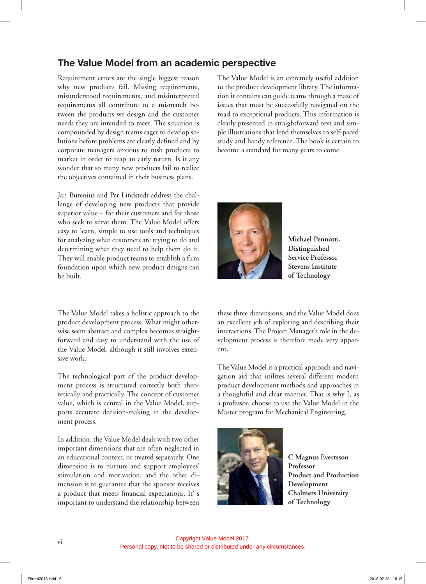## **The Value Model from an academic perspective**

Requirement errors are the single biggest reason why new products fail. Missing requirements, misunderstood requirements, and misinterpreted requirements all contribute to a mismatch between the products we design and the customer needs they are intended to meet. The situation is compounded by design teams eager to develop solutions before problems are clearly defined and by corporate managers anxious to rush products to market in order to reap an early return. Is it any wonder that so many new products fail to realize the objectives contained in their business plans.

Jan Burenius and Per Lindstedt address the challenge of developing new products that provide superior value – for their customers and for those who seek to serve them. The Value Model offers easy to learn, simple to use tools and techniques for analyzing what customers are trying to do and determining what they need to help them do it. They will enable product teams to establish a firm foundation upon which new product designs can be built.

The Value Model takes a holistic approach to the product development process. What might otherwise seem abstract and complex becomes straightforward and easy to understand with the use of the Value Model, although it still involves extensive work.

The technological part of the product development process is structured correctly both theoretically and practically. The concept of customer value, which is central in the Value Model, supports accurate decision-making in the development process.

In addition, the Value Model deals with two other important dimensions that are often neglected in an educational context, or treated separately. One dimension is to nurture and support employees' stimulation and motivation, and the other dimension is to guarantee that the sponsor receives a product that meets financial expectations. It' s important to understand the relationship between

The Value Model is an extremely useful addition to the product development library. The information it contains can guide teams through a maze of issues that must be successfully navigated on the road to exceptional products. This information is clearly presented in straightforward text and simple illustrations that lend themselves to self-paced study and handy reference. The book is certain to become a standard for many years to come.



**Michael Pennotti, Distinguished Service Professor Stevens Institute of Technology**

these three dimensions, and the Value Model does an excellent job of exploring and describing their interactions. The Project Manager's role in the development process is therefore made very apparent.

The Value Model is a practical approach and navigation aid that utilizes several different modern product development methods and approaches in a thoughtful and clear manner. That is why I, as a professor, choose to use the Value Model in the Master program for Mechanical Engineering.



**C Magnus Evertsson Professor Product and Production Development Chalmers University of Technology**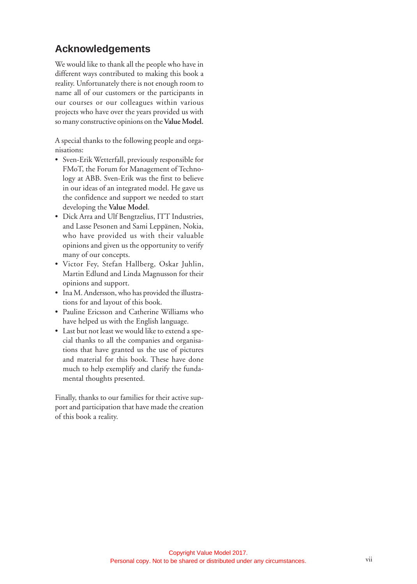## **Acknowledgements**

We would like to thank all the people who have in different ways contributed to making this book a reality. Unfortunately there is not enough room to name all of our customers or the participants in our courses or our colleagues within various projects who have over the years provided us with so many constructive opinions on the **Value Model.**

A special thanks to the following people and organisations:

- Sven-Erik Wetterfall, previously responsible for FMoT, the Forum for Management of Technology at ABB. Sven-Erik was the first to believe in our ideas of an integrated model. He gave us the confidence and support we needed to start developing the **Value Model** .
- Dick Arra and Ulf Bengtzelius, ITT Industries, and Lasse Pesonen and Sami Leppänen, Nokia, who have provided us with their valuable opinions and given us the opportunity to verify many of our concepts.
- Victor Fey, Stefan Hallberg, Oskar Juhlin, Martin Edlund and Linda Magnusson for their opinions and support.
- Ina M. Andersson, who has provided the illustrations for and layout of this book.
- Pauline Ericsson and Catherine Williams who have helped us with the English language.
- Last but not least we would like to extend a special thanks to all the companies and organisations that have granted us the use of pictures and material for this book. These have done much to help exemplify and clarify the fundamental thoughts presented.

Finally, thanks to our families for their active support and participation that have made the creation of this book a reality.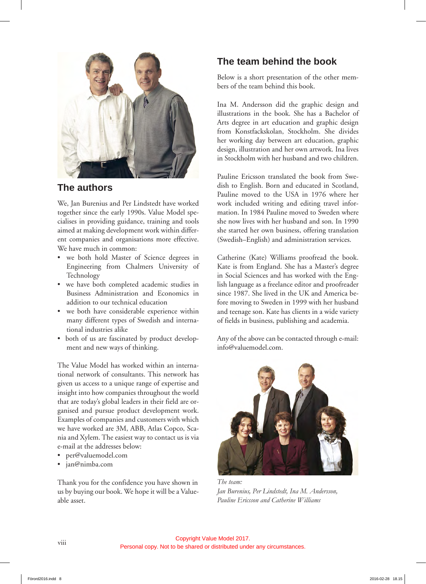

## **The authors**

We, Jan Burenius and Per Lindstedt have worked together since the early 1990s. Value Model specialises in providing guidance, training and tools aimed at making development work within different companies and organisations more effective. We have much in common:

- we both hold Master of Science degrees in Engineering from Chalmers University of Technology
- we have both completed academic studies in Business Administration and Economics in addition to our technical education
- we both have considerable experience within many different types of Swedish and international industries alike
- both of us are fascinated by product development and new ways of thinking.

The Value Model has worked within an international network of consultants. This network has given us access to a unique range of expertise and insight into how companies throughout the world that are today's global leaders in their field are organised and pursue product development work. Examples of companies and customers with which we have worked are 3M, ABB, Atlas Copco, Scania and Xylem. The easiest way to contact us is via e-mail at the addresses below:

- per@valuemodel.com
- jan@nimba.com

Thank you for the confidence you have shown in us by buying our book. We hope it will be a Valueable asset.

## **The team behind the book**

Below is a short presentation of the other members of the team behind this book.

Ina M. Andersson did the graphic design and illustrations in the book. She has a Bachelor of Arts degree in art education and graphic design from Konstfackskolan, Stockholm. She divides her working day between art education, graphic design, illustration and her own artwork. Ina lives in Stockholm with her husband and two children.

Pauline Ericsson translated the book from Swedish to English. Born and educated in Scotland, Pauline moved to the USA in 1976 where her work included writing and editing travel information. In 1984 Pauline moved to Sweden where she now lives with her husband and son. In 1990 she started her own business, offering translation (Swedish–English) and administration services.

Catherine (Kate) Williams proofread the book. Kate is from England. She has a Master's degree in Social Sciences and has worked with the English language as a freelance editor and proofreader since 1987. She lived in the UK and America before moving to Sweden in 1999 with her husband and teenage son. Kate has clients in a wide variety of fields in business, publishing and academia.

Any of the above can be contacted through e-mail: info@valuemodel.com.



*The team: Jan Burenius, Per Lindstedt, Ina M. Andersson, Pauline Ericsson and Catherine Williams*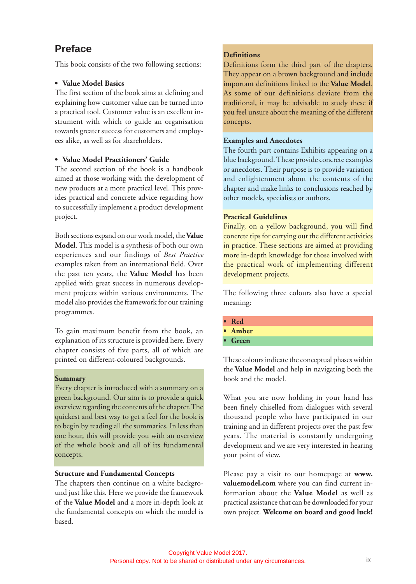## **Preface**

This book consists of the two following sections:

#### **• Value Model Basics**

The first section of the book aims at defining and explaining how customer value can be turned into a practical tool. Customer value is an excellent instrument with which to guide an organisation towards greater success for customers and employees alike, as well as for shareholders.

#### **• Value Model Practitioners' Guide**

The second section of the book is a handbook aimed at those working with the development of new products at a more practical level. This provides practical and concrete advice regarding how to successfully implement a product development project.

Both sections expand on our work model, the **Value Model**. This model is a synthesis of both our own experiences and our findings of *Best Practice* examples taken from an international field. Over the past ten years, the **Value Model** has been applied with great success in numerous development projects within various environments. The model also provides the framework for our training programmes.

To gain maximum benefit from the book, an explanation of its structure is provided here. Every chapter consists of five parts, all of which are printed on different-coloured backgrounds.

#### **Summary**

Every chapter is introduced with a summary on a green background. Our aim is to provide a quick overview regarding the contents of the chapter. The quickest and best way to get a feel for the book is to begin by reading all the summaries. In less than one hour, this will provide you with an overview of the whole book and all of its fundamental concepts.

#### **Structure and Fundamental Concepts**

The chapters then continue on a white background just like this. Here we provide the framework of the **Value Model** and a more in-depth look at the fundamental concepts on which the model is based.

#### **Definitions**

Definitions form the third part of the chapters. They appear on a brown background and include important definitions linked to the **Value Model**. As some of our definitions deviate from the traditional, it may be advisable to study these if you feel unsure about the meaning of the different concepts.

#### **Examples and Anecdotes**

The fourth part contains Exhibits appearing on a blue background. These provide concrete examples or anecdotes. Their purpose is to provide variation and enlightenment about the contents of the chapter and make links to conclusions reached by other models, specialists or authors.

#### **Practical Guidelines**

Finally, on a yellow background, you will find concrete tips for carrying out the different activities in practice. These sections are aimed at providing more in-depth knowledge for those involved with the practical work of implementing different development projects.

The following three colours also have a special meaning:

- **Red**
- **Amber**
- **Green**

These colours indicate the conceptual phases within the **Value Model** and help in navigating both the book and the model.

What you are now holding in your hand has been finely chiselled from dialogues with several thousand people who have participated in our training and in different projects over the past few years. The material is constantly undergoing development and we are very interested in hearing your point of view.

Please pay a visit to our homepage at **www. valuemodel.com** where you can find current information about the **Value Model** as well as practical assistance that can be downloaded for your own project. **Welcome on board and good luck!**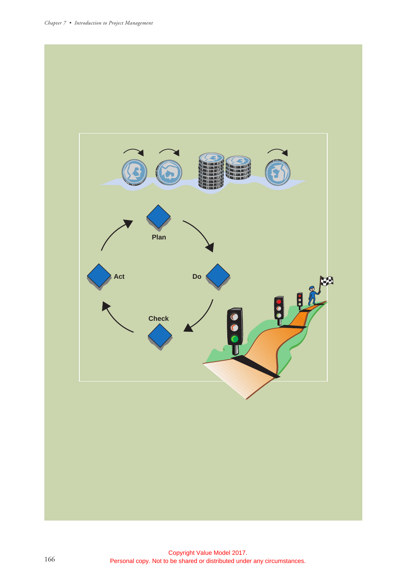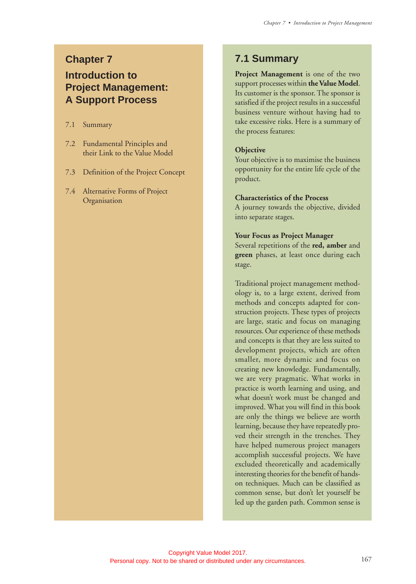## **Chapter 7 Introduction to Project Management: A Support Process**

7.1 Summary

- 7.2 Fundamental Principles and their Link to the Value Model
- 7.3 Definition of the Project Concept
- 7.4 Alternative Forms of Project **Organisation**

### **7.1 Summary**

**Project Management** is one of the two support processes within **the Value Model**. Its customer is the sponsor. The sponsor is satisfied if the project results in a successful business venture without having had to take excessive risks. Here is a summary of the process features:

#### **Objective**

Your objective is to maximise the business opportunity for the entire life cycle of the product.

#### **Characteristics of the Process**

A journey towards the objective, divided into separate stages.

#### **Your Focus as Project Manager**

Several repetitions of the **red, amber** and **green** phases, at least once during each stage.

Traditional project management methodology is, to a large extent, derived from methods and concepts adapted for construction projects. These types of projects are large, static and focus on managing resources. Our experience of these methods and concepts is that they are less suited to development projects, which are often smaller, more dynamic and focus on creating new knowledge. Fundamentally, we are very pragmatic. What works in practice is worth learning and using, and what doesn't work must be changed and improved. What you will find in this book are only the things we believe are worth learning, because they have repeatedly proved their strength in the trenches. They have helped numerous project managers accomplish successful projects. We have excluded theoretically and academically interesting theories for the benefit of handson techniques. Much can be classified as common sense, but don't let yourself be led up the garden path. Common sense is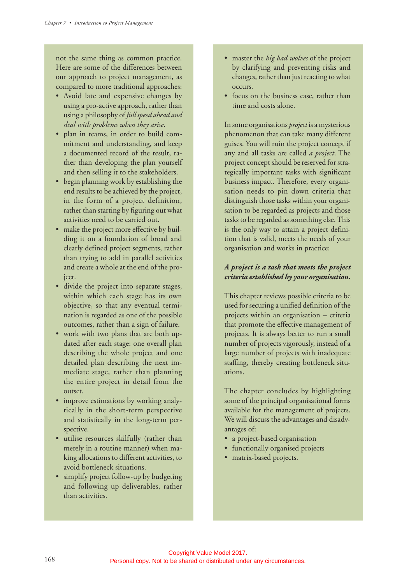not the same thing as common practice. Here are some of the differences between our approach to project management, as compared to more traditional approaches:

- Avoid late and expensive changes by using a pro-active approach, rather than using a philosophy of *full speed ahead and deal with problems when they arise*.
- plan in teams, in order to build commitment and understanding, and keep a documented record of the result, rather than developing the plan yourself and then selling it to the stakeholders.
- begin planning work by establishing the end results to be achieved by the project, in the form of a project definition, rather than starting by figuring out what activities need to be carried out.
- make the project more effective by building it on a foundation of broad and clearly defined project segments, rather than trying to add in parallel activities and create a whole at the end of the project.
- divide the project into separate stages, within which each stage has its own objective, so that any eventual termination is regarded as one of the possible outcomes, rather than a sign of failure.
- work with two plans that are both updated after each stage: one overall plan describing the whole project and one detailed plan describing the next immediate stage, rather than planning the entire project in detail from the outset.
- improve estimations by working analytically in the short-term perspective and statistically in the long-term perspective.
- utilise resources skilfully (rather than merely in a routine manner) when making allocations to different activities, to avoid bottleneck situations.
- simplify project follow-up by budgeting and following up deliverables, rather than activities.
- master the *big bad wolves* of the project by clarifying and preventing risks and changes, rather than just reacting to what occurs.
- focus on the business case, rather than time and costs alone.

In some organisations *project* is a mysterious phenomenon that can take many different guises. You will ruin the project concept if any and all tasks are called *a project*. The project concept should be reserved for strategically important tasks with significant business impact. Therefore, every organisation needs to pin down criteria that distinguish those tasks within your organisation to be regarded as projects and those tasks to be regarded as something else. This is the only way to attain a project definition that is valid, meets the needs of your organisation and works in practice:

#### *A project is a task that meets the project criteria established by your organisation.*

This chapter reviews possible criteria to be used for securing a unified definition of the projects within an organisation – criteria that promote the effective management of projects. It is always better to run a small number of projects vigorously, instead of a large number of projects with inadequate staffing, thereby creating bottleneck situations.

The chapter concludes by highlighting some of the principal organisational forms available for the management of projects. We will discuss the advantages and disadvantages of:

- a project-based organisation
- functionally organised projects
- matrix-based projects.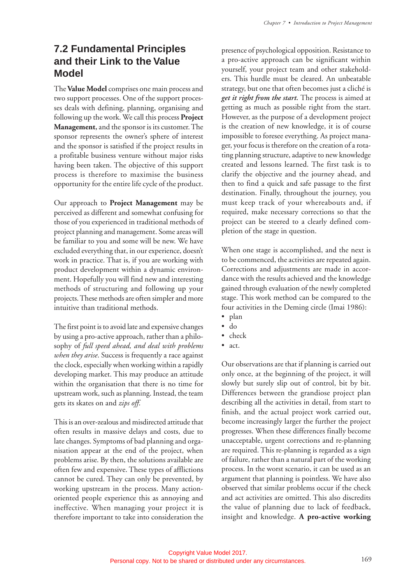## **7.2 Fundamental Principles and their Link to the Value Model**

The **Value Model** comprises one main process and two support processes. One of the support processes deals with defining, planning, organising and following up the work. We call this process **Project Management,** and the sponsor is its customer. The sponsor represents the owner's sphere of interest and the sponsor is satisfied if the project results in a profitable business venture without major risks having been taken. The objective of this support process is therefore to maximise the business opportunity for the entire life cycle of the product.

Our approach to **Project Management** may be perceived as different and somewhat confusing for those of you experienced in traditional methods of project planning and management. Some areas will be familiar to you and some will be new. We have excluded everything that, in our experience, doesn't work in practice. That is, if you are working with product development within a dynamic environment. Hopefully you will find new and interesting methods of structuring and following up your projects. These methods are often simpler and more intuitive than traditional methods.

The first point is to avoid late and expensive changes by using a pro-active approach, rather than a philosophy of *full speed ahead, and deal with problems when they arise*. Success is frequently a race against the clock, especially when working within a rapidly developing market. This may produce an attitude within the organisation that there is no time for upstream work, such as planning. Instead, the team gets its skates on and *zips off*.

This is an over-zealous and misdirected attitude that often results in massive delays and costs, due to late changes. Symptoms of bad planning and organisation appear at the end of the project, when problems arise. By then, the solutions available are often few and expensive. These types of afflictions cannot be cured. They can only be prevented, by working upstream in the process. Many actionoriented people experience this as annoying and ineffective. When managing your project it is therefore important to take into consideration the presence of psychological opposition. Resistance to a pro-active approach can be significant within yourself, your project team and other stakeholders. This hurdle must be cleared. An unbeatable strategy, but one that often becomes just a cliché is *get it right from the start.* The process is aimed at getting as much as possible right from the start. However, as the purpose of a development project is the creation of new knowledge, it is of course impossible to foresee everything. As project manager, your focus is therefore on the creation of a rotating planning structure, adaptive to new knowledge created and lessons learned. The first task is to clarify the objective and the journey ahead, and then to find a quick and safe passage to the first destination. Finally, throughout the journey, you must keep track of your whereabouts and, if required, make necessary corrections so that the project can be steered to a clearly defined completion of the stage in question.

When one stage is accomplished, and the next is to be commenced, the activities are repeated again. Corrections and adjustments are made in accordance with the results achieved and the knowledge gained through evaluation of the newly completed stage. This work method can be compared to the four activities in the Deming circle (Imai 1986):

- plan
- do
- check
- act.

Our observations are that if planning is carried out only once, at the beginning of the project, it will slowly but surely slip out of control, bit by bit. Differences between the grandiose project plan describing all the activities in detail, from start to finish, and the actual project work carried out, become increasingly larger the further the project progresses. When these differences finally become unacceptable, urgent corrections and re-planning are required. This re-planning is regarded as a sign of failure, rather than a natural part of the working process. In the worst scenario, it can be used as an argument that planning is pointless. We have also observed that similar problems occur if the check and act activities are omitted. This also discredits the value of planning due to lack of feedback, insight and knowledge. **A pro-active working**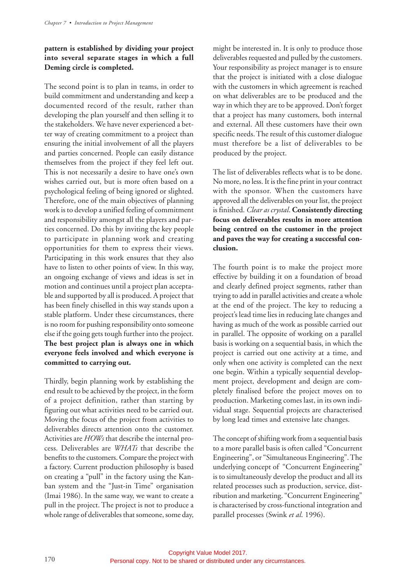#### **pattern is established by dividing your project into several separate stages in which a full Deming circle is completed.**

The second point is to plan in teams, in order to build commitment and understanding and keep a documented record of the result, rather than developing the plan yourself and then selling it to the stakeholders. We have never experienced a better way of creating commitment to a project than ensuring the initial involvement of all the players and parties concerned. People can easily distance themselves from the project if they feel left out. This is not necessarily a desire to have one's own wishes carried out, but is more often based on a psychological feeling of being ignored or slighted. Therefore, one of the main objectives of planning work is to develop a unified feeling of commitment and responsibility amongst all the players and parties concerned. Do this by inviting the key people to participate in planning work and creating opportunities for them to express their views. Participating in this work ensures that they also have to listen to other points of view. In this way, an ongoing exchange of views and ideas is set in motion and continues until a project plan acceptable and supported by all is produced. A project that has been finely chiselled in this way stands upon a stable platform. Under these circumstances, there is no room for pushing responsibility onto someone else if the going gets tough further into the project. **The best project plan is always one in which everyone feels involved and which everyone is committed to carrying out.**

Thirdly, begin planning work by establishing the end result to be achieved by the project, in the form of a project definition, rather than starting by figuring out what activities need to be carried out. Moving the focus of the project from activities to deliverables directs attention onto the customer. Activities are *HOWs* that describe the internal process. Deliverables are *WHATs* that describe the benefits to the customers. Compare the project with a factory. Current production philosophy is based on creating a "pull" in the factory using the Kanban system and the "Just-in Time" organisation (Imai 1986). In the same way, we want to create a pull in the project. The project is not to produce a whole range of deliverables that someone, some day,

might be interested in. It is only to produce those deliverables requested and pulled by the customers. Your responsibility as project manager is to ensure that the project is initiated with a close dialogue with the customers in which agreement is reached on what deliverables are to be produced and the way in which they are to be approved. Don't forget that a project has many customers, both internal and external. All these customers have their own specific needs. The result of this customer dialogue must therefore be a list of deliverables to be produced by the project.

The list of deliverables reflects what is to be done. No more, no less. It is the fine print in your contract with the sponsor. When the customers have approved all the deliverables on your list, the project is finished. *Clear as crystal*. **Consistently directing focus on deliverables results in more attention being centred on the customer in the project and paves the way for creating a successful conclusion.**

The fourth point is to make the project more effective by building it on a foundation of broad and clearly defined project segments, rather than trying to add in parallel activities and create a whole at the end of the project. The key to reducing a project's lead time lies in reducing late changes and having as much of the work as possible carried out in parallel. The opposite of working on a parallel basis is working on a sequential basis, in which the project is carried out one activity at a time, and only when one activity is completed can the next one begin. Within a typically sequential development project, development and design are completely finalised before the project moves on to production. Marketing comes last, in its own individual stage. Sequential projects are characterised by long lead times and extensive late changes.

The concept of shifting work from a sequential basis to a more parallel basis is often called "Concurrent Engineering", or "Simultaneous Engineering". The underlying concept of "Concurrent Engineering" is to simultaneously develop the product and all its related processes such as production, service, distribution and marketing. "Concurrent Engineering" is characterised by cross-functional integration and parallel processes (Swink *et al*. 1996).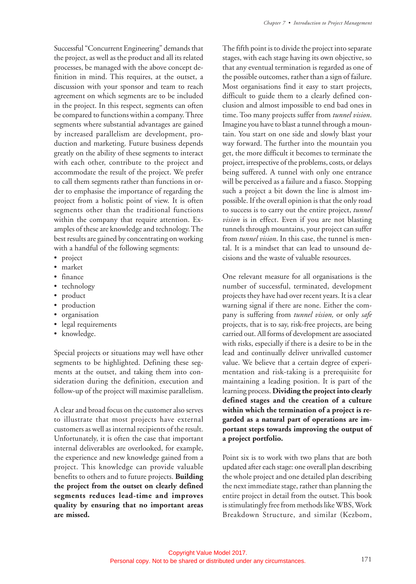Successful "Concurrent Engineering" demands that the project, as well as the product and all its related processes, be managed with the above concept definition in mind. This requires, at the outset, a discussion with your sponsor and team to reach agreement on which segments are to be included in the project. In this respect, segments can often be compared to functions within a company. Three segments where substantial advantages are gained by increased parallelism are development, production and marketing. Future business depends greatly on the ability of these segments to interact with each other, contribute to the project and accommodate the result of the project. We prefer to call them segments rather than functions in order to emphasise the importance of regarding the project from a holistic point of view. It is often segments other than the traditional functions within the company that require attention. Examples of these are knowledge and technology. The best results are gained by concentrating on working with a handful of the following segments:

- project
- market
- finance
- technology
- product
- production
- organisation
- legal requirements
- knowledge.

Special projects or situations may well have other segments to be highlighted. Defining these segments at the outset, and taking them into consideration during the definition, execution and follow-up of the project will maximise parallelism.

A clear and broad focus on the customer also serves to illustrate that most projects have external customers as well as internal recipients of the result. Unfortunately, it is often the case that important internal deliverables are overlooked, for example, the experience and new knowledge gained from a project. This knowledge can provide valuable benefits to others and to future projects. **Building the project from the outset on clearly defined segments reduces lead-time and improves quality by ensuring that no important areas are missed.**

The fifth point is to divide the project into separate stages, with each stage having its own objective, so that any eventual termination is regarded as one of the possible outcomes, rather than a sign of failure. Most organisations find it easy to start projects, difficult to guide them to a clearly defined conclusion and almost impossible to end bad ones in time. Too many projects suffer from *tunnel vision*. Imagine you have to blast a tunnel through a mountain. You start on one side and slowly blast your way forward. The further into the mountain you get, the more difficult it becomes to terminate the project, irrespective of the problems, costs, or delays being suffered. A tunnel with only one entrance will be perceived as a failure and a fiasco. Stopping such a project a bit down the line is almost impossible. If the overall opinion is that the only road to success is to carry out the entire project, *tunnel vision* is in effect. Even if you are not blasting tunnels through mountains, your project can suffer from *tunnel vision*. In this case, the tunnel is mental. It is a mindset that can lead to unsound decisions and the waste of valuable resources.

One relevant measure for all organisations is the number of successful, terminated, development projects they have had over recent years. It is a clear warning signal if there are none. Either the company is suffering from *tunnel vision,* or only *safe* projects, that is to say, risk-free projects, are being carried out. All forms of development are associated with risks, especially if there is a desire to be in the lead and continually deliver unrivalled customer value. We believe that a certain degree of experimentation and risk-taking is a prerequisite for maintaining a leading position. It is part of the learning process. **Dividing the project into clearly defined stages and the creation of a culture within which the termination of a project is regarded as a natural part of operations are important steps towards improving the output of a project portfolio.**

Point six is to work with two plans that are both updated after each stage: one overall plan describing the whole project and one detailed plan describing the next immediate stage, rather than planning the entire project in detail from the outset. This book is stimulatingly free from methods like WBS, Work Breakdown Structure, and similar (Kezbom,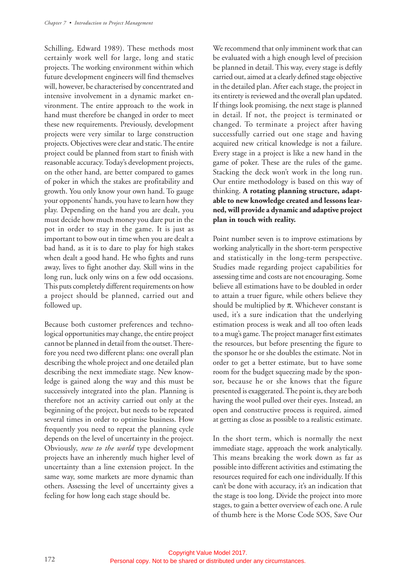Schilling, Edward 1989). These methods most certainly work well for large, long and static projects. The working environment within which future development engineers will find themselves will, however, be characterised by concentrated and intensive involvement in a dynamic market environment. The entire approach to the work in hand must therefore be changed in order to meet these new requirements. Previously, development projects were very similar to large construction projects. Objectives were clear and static. The entire project could be planned from start to finish with reasonable accuracy. Today's development projects, on the other hand, are better compared to games of poker in which the stakes are profitability and growth. You only know your own hand. To gauge your opponents' hands, you have to learn how they play. Depending on the hand you are dealt, you must decide how much money you dare put in the pot in order to stay in the game. It is just as important to bow out in time when you are dealt a bad hand, as it is to dare to play for high stakes when dealt a good hand. He who fights and runs away, lives to fight another day. Skill wins in the long run, luck only wins on a few odd occasions. This puts completely different requirements on how a project should be planned, carried out and followed up.

Because both customer preferences and technological opportunities may change, the entire project cannot be planned in detail from the outset. Therefore you need two different plans: one overall plan describing the whole project and one detailed plan describing the next immediate stage. New knowledge is gained along the way and this must be successively integrated into the plan. Planning is therefore not an activity carried out only at the beginning of the project, but needs to be repeated several times in order to optimise business. How frequently you need to repeat the planning cycle depends on the level of uncertainty in the project. Obviously, *new to the world* type development projects have an inherently much higher level of uncertainty than a line extension project. In the same way, some markets are more dynamic than others. Assessing the level of uncertainty gives a feeling for how long each stage should be.

We recommend that only imminent work that can be evaluated with a high enough level of precision be planned in detail. This way, every stage is deftly carried out, aimed at a clearly defined stage objective in the detailed plan. After each stage, the project in its entirety is reviewed and the overall plan updated. If things look promising, the next stage is planned in detail. If not, the project is terminated or changed. To terminate a project after having successfully carried out one stage and having acquired new critical knowledge is not a failure. Every stage in a project is like a new hand in the game of poker. These are the rules of the game. Stacking the deck won't work in the long run. Our entire methodology is based on this way of thinking. **A rotating planning structure, adaptable to new knowledge created and lessons learned, will provide a dynamic and adaptive project plan in touch with reality.**

Point number seven is to improve estimations by working analytically in the short-term perspective and statistically in the long-term perspective. Studies made regarding project capabilities for assessing time and costs are not encouraging. Some believe all estimations have to be doubled in order to attain a truer figure, while others believe they should be multiplied by  $\pi$ . Whichever constant is used, it's a sure indication that the underlying estimation process is weak and all too often leads to a mug's game. The project manager first estimates the resources, but before presenting the figure to the sponsor he or she doubles the estimate. Not in order to get a better estimate, but to have some room for the budget squeezing made by the sponsor, because he or she knows that the figure presented is exaggerated. The point is, they are both having the wool pulled over their eyes. Instead, an open and constructive process is required, aimed at getting as close as possible to a realistic estimate.

In the short term, which is normally the next immediate stage, approach the work analytically. This means breaking the work down as far as possible into different activities and estimating the resources required for each one individually. If this can't be done with accuracy, it's an indication that the stage is too long. Divide the project into more stages, to gain a better overview of each one. A rule of thumb here is the Morse Code SOS, Save Our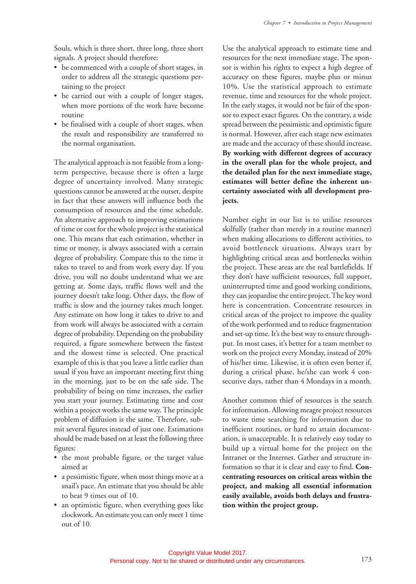Souls, which is three short, three long, three short signals. A project should therefore:

- be commenced with a couple of short stages, in order to address all the strategic questions pertaining to the project
- be carried out with a couple of longer stages, when more portions of the work have become routine
- be finalised with a couple of short stages, when the result and responsibility are transferred to the normal organisation.

The analytical approach is not feasible from a longterm perspective, because there is often a large degree of uncertainty involved. Many strategic questions cannot be answered at the outset, despite in fact that these answers will influence both the consumption of resources and the time schedule. An alternative approach to improving estimations of time or cost for the whole project is the statistical one. This means that each estimation, whether in time or money, is always associated with a certain degree of probability. Compare this to the time it takes to travel to and from work every day. If you drive, you will no doubt understand what we are getting at. Some days, traffic flows well and the journey doesn't take long. Other days, the flow of traffic is slow and the journey takes much longer. Any estimate on how long it takes to drive to and from work will always be associated with a certain degree of probability. Depending on the probability required, a figure somewhere between the fastest and the slowest time is selected. One practical example of this is that you leave a little earlier than usual if you have an important meeting first thing in the morning, just to be on the safe side. The probability of being on time increases, the earlier you start your journey. Estimating time and cost within a project works the same way. The principle problem of diffusion is the same. Therefore, submit several figures instead of just one. Estimations should be made based on at least the following three figures:

- the most probable figure, or the target value aimed at
- a pessimistic figure, when most things move at a snail's pace. An estimate that you should be able to beat 9 times out of 10.
- an optimistic figure, when everything goes like clockwork. An estimate you can only meet 1 time out of 10.

Use the analytical approach to estimate time and resources for the next immediate stage. The sponsor is within his rights to expect a high degree of accuracy on these figures, maybe plus or minus 10%. Use the statistical approach to estimate revenue, time and resources for the whole project. In the early stages, it would not be fair of the sponsor to expect exact figures. On the contrary, a wide spread between the pessimistic and optimistic figure is normal. However, after each stage new estimates are made and the accuracy of these should increase. **By working with different degrees of accuracy in the overall plan for the whole project, and the detailed plan for the next immediate stage, estimates will better define the inherent uncertainty associated with all development projects.**

Number eight in our list is to utilise resources skilfully (rather than merely in a routine manner) when making allocations to different activities, to avoid bottleneck situations. Always start by highlighting critical areas and bottlenecks within the project. These areas are the real battlefields. If they don't have sufficient resources, full support, uninterrupted time and good working conditions, they can jeopardise the entire project. The key word here is concentration. Concentrate resources in critical areas of the project to improve the quality of the work performed and to reduce fragmentation and set-up time. It's the best way to ensure throughput. In most cases, it's better for a team member to work on the project every Monday, instead of 20% of his/her time. Likewise, it is often even better if, during a critical phase, he/she can work 4 consecutive days, rather than 4 Mondays in a month.

Another common thief of resources is the search for information. Allowing meagre project resources to waste time searching for information due to inefficient routines, or hard to attain documentation, is unacceptable. It is relatively easy today to build up a virtual home for the project on the Intranet or the Internet. Gather and structure information so that it is clear and easy to find. **Concentrating resources on critical areas within the project, and making all essential information easily available, avoids both delays and frustration within the project group.**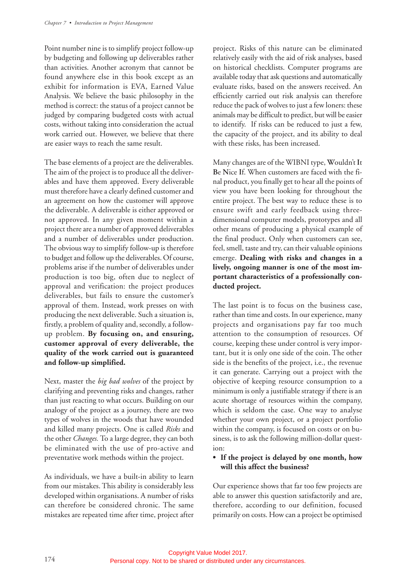Point number nine is to simplify project follow-up by budgeting and following up deliverables rather than activities. Another acronym that cannot be found anywhere else in this book except as an exhibit for information is EVA, Earned Value Analysis. We believe the basic philosophy in the method is correct: the status of a project cannot be judged by comparing budgeted costs with actual costs, without taking into consideration the actual work carried out. However, we believe that there are easier ways to reach the same result.

The base elements of a project are the deliverables. The aim of the project is to produce all the deliverables and have them approved. Every deliverable must therefore have a clearly defined customer and an agreement on how the customer will approve the deliverable. A deliverable is either approved or not approved. In any given moment within a project there are a number of approved deliverables and a number of deliverables under production. The obvious way to simplify follow-up is therefore to budget and follow up the deliverables. Of course, problems arise if the number of deliverables under production is too big, often due to neglect of approval and verification: the project produces deliverables, but fails to ensure the customer's approval of them. Instead, work presses on with producing the next deliverable. Such a situation is, firstly, a problem of quality and, secondly, a followup problem. **By focusing on, and ensuring, customer approval of every deliverable, the quality of the work carried out is guaranteed and follow-up simplified.**

Next, master the *big bad wolves* of the project by clarifying and preventing risks and changes, rather than just reacting to what occurs. Building on our analogy of the project as a journey, there are two types of wolves in the woods that have wounded and killed many projects. One is called *Risks* and the other *Changes.* To a large degree, they can both be eliminated with the use of pro-active and preventative work methods within the project.

As individuals, we have a built-in ability to learn from our mistakes. This ability is considerably less developed within organisations. A number of risks can therefore be considered chronic. The same mistakes are repeated time after time, project after

project. Risks of this nature can be eliminated relatively easily with the aid of risk analyses, based on historical checklists. Computer programs are available today that ask questions and automatically evaluate risks, based on the answers received. An efficiently carried out risk analysis can therefore reduce the pack of wolves to just a few loners: these animals may be difficult to predict, but will be easier to identify. If risks can be reduced to just a few, the capacity of the project, and its ability to deal with these risks, has been increased.

Many changes are of the WIBNI type, **W**ouldn't **I**t **B**e **N**ice **I**f. When customers are faced with the final product, you finally get to hear all the points of view you have been looking for throughout the entire project. The best way to reduce these is to ensure swift and early feedback using threedimensional computer models, prototypes and all other means of producing a physical example of the final product. Only when customers can see, feel, smell, taste and try, can their valuable opinions emerge. **Dealing with risks and changes in a lively, ongoing manner is one of the most important characteristics of a professionally conducted project.**

The last point is to focus on the business case, rather than time and costs. In our experience, many projects and organisations pay far too much attention to the consumption of resources. Of course, keeping these under control is very important, but it is only one side of the coin. The other side is the benefits of the project, i.e., the revenue it can generate. Carrying out a project with the objective of keeping resource consumption to a minimum is only a justifiable strategy if there is an acute shortage of resources within the company, which is seldom the case. One way to analyse whether your own project, or a project portfolio within the company, is focused on costs or on business, is to ask the following million-dollar question:

#### **• If the project is delayed by one month, how will this affect the business?**

Our experience shows that far too few projects are able to answer this question satisfactorily and are, therefore, according to our definition, focused primarily on costs. How can a project be optimised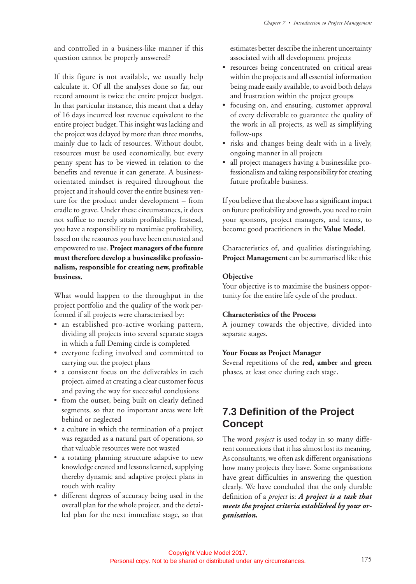and controlled in a business-like manner if this question cannot be properly answered?

If this figure is not available, we usually help calculate it. Of all the analyses done so far, our record amount is twice the entire project budget. In that particular instance, this meant that a delay of 16 days incurred lost revenue equivalent to the entire project budget. This insight was lacking and the project was delayed by more than three months, mainly due to lack of resources. Without doubt, resources must be used economically, but every penny spent has to be viewed in relation to the benefits and revenue it can generate. A businessorientated mindset is required throughout the project and it should cover the entire business venture for the product under development – from cradle to grave. Under these circumstances, it does not suffice to merely attain profitability. Instead, you have a responsibility to maximise profitability, based on the resources you have been entrusted and empowered to use. **Project managers of the future must therefore develop a businesslike professionalism, responsible for creating new, profitable business.**

What would happen to the throughput in the project portfolio and the quality of the work performed if all projects were characterised by:

- an established pro-active working pattern, dividing all projects into several separate stages in which a full Deming circle is completed
- everyone feeling involved and committed to carrying out the project plans
- a consistent focus on the deliverables in each project, aimed at creating a clear customer focus and paving the way for successful conclusions
- from the outset, being built on clearly defined segments, so that no important areas were left behind or neglected
- a culture in which the termination of a project was regarded as a natural part of operations, so that valuable resources were not wasted
- a rotating planning structure adaptive to new knowledge created and lessons learned, supplying thereby dynamic and adaptive project plans in touch with reality
- different degrees of accuracy being used in the overall plan for the whole project, and the detailed plan for the next immediate stage, so that

estimates better describe the inherent uncertainty associated with all development projects

- resources being concentrated on critical areas within the projects and all essential information being made easily available, to avoid both delays and frustration within the project groups
- focusing on, and ensuring, customer approval of every deliverable to guarantee the quality of the work in all projects, as well as simplifying follow-ups
- risks and changes being dealt with in a lively, ongoing manner in all projects
- all project managers having a businesslike professionalism and taking responsibility for creating future profitable business.

If you believe that the above has a significant impact on future profitability and growth, you need to train your sponsors, project managers, and teams, to become good practitioners in the **Value Model**.

Characteristics of, and qualities distinguishing, **Project Management** can be summarised like this:

#### **Objective**

Your objective is to maximise the business opportunity for the entire life cycle of the product.

#### **Characteristics of the Process**

A journey towards the objective, divided into separate stages.

#### **Your Focus as Project Manager**

Several repetitions of the **red, amber** and **green** phases, at least once during each stage.

## **7.3 Definition of the Project Concept**

The word *project* is used today in so many different connections that it has almost lost its meaning. As consultants, we often ask different organisations how many projects they have. Some organisations have great difficulties in answering the question clearly. We have concluded that the only durable definition of a *project* is: *A project is a task that meets the project criteria established by your organisation.*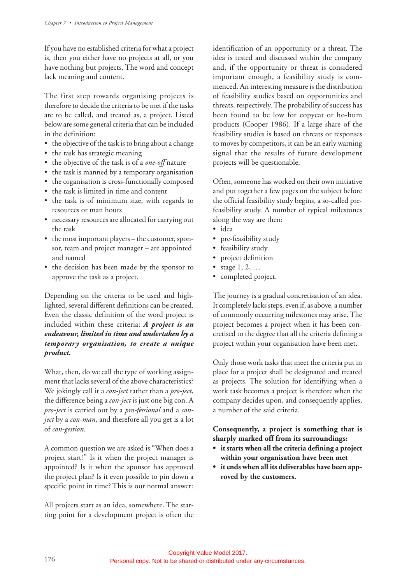If you have no established criteria for what a project is, then you either have no projects at all, or you have nothing but projects. The word and concept lack meaning and content.

The first step towards organising projects is therefore to decide the criteria to be met if the tasks are to be called, and treated as, a project. Listed below are some general criteria that can be included in the definition:

- the objective of the task is to bring about a change
- the task has strategic meaning
- the objective of the task is of a *one-off* nature
- the task is manned by a temporary organisation
- the organisation is cross-functionally composed
- the task is limited in time and content
- the task is of minimum size, with regards to resources or man hours
- necessary resources are allocated for carrying out the task
- the most important players the customer, sponsor, team and project manager – are appointed and named
- the decision has been made by the sponsor to approve the task as a project.

Depending on the criteria to be used and highlighted, several different definitions can be created. Even the classic definition of the word project is included within these criteria: *A project is an endeavour, limited in time and undertaken by a temporary organisation, to create a unique product.*

What, then, do we call the type of working assignment that lacks several of the above characteristics? We jokingly call it a *con-ject* rather than a *pro-ject*, the difference being a *con-ject* is just one big con. A *pro-ject* is carried out by a *pro-fessional* and a *conject* by a *con-man*, and therefore all you get is a lot of *con-gestion*.

A common question we are asked is "When does a project start?" Is it when the project manager is appointed? Is it when the sponsor has approved the project plan? Is it even possible to pin down a specific point in time? This is our normal answer:

All projects start as an idea, somewhere. The starting point for a development project is often the identification of an opportunity or a threat. The idea is tested and discussed within the company and, if the opportunity or threat is considered important enough, a feasibility study is commenced. An interesting measure is the distribution of feasibility studies based on opportunities and threats, respectively. The probability of success has been found to be low for copycat or ho-hum products (Cooper 1986). If a large share of the feasibility studies is based on threats or responses to moves by competitors, it can be an early warning signal that the results of future development projects will be questionable.

Often, someone has worked on their own initiative and put together a few pages on the subject before the official feasibility study begins, a so-called prefeasibility study. A number of typical milestones along the way are then:

- idea
- pre-feasibility study
- feasibility study
- project definition
- stage  $1, 2, ...$
- completed project.

The journey is a gradual concretisation of an idea. It completely lacks steps, even if, as above, a number of commonly occurring milestones may arise. The project becomes a project when it has been concretised to the degree that all the criteria defining a project within your organisation have been met.

Only those work tasks that meet the criteria put in place for a project shall be designated and treated as projects. The solution for identifying when a work task becomes a project is therefore when the company decides upon, and consequently applies, a number of the said criteria.

#### **Consequently, a project is something that is sharply marked off from its surroundings:**

- **it starts when all the criteria defining a project within your organisation have been met**
- **it ends when all its deliverables have been approved by the customers.**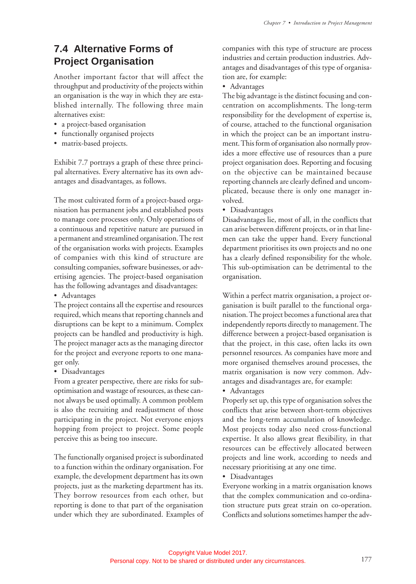## **7.4 Alternative Forms of Project Organisation**

Another important factor that will affect the throughput and productivity of the projects within an organisation is the way in which they are established internally. The following three main alternatives exist:

- a project-based organisation
- functionally organised projects
- matrix-based projects.

Exhibit 7.7 portrays a graph of these three principal alternatives. Every alternative has its own advantages and disadvantages, as follows.

The most cultivated form of a project-based organisation has permanent jobs and established posts to manage core processes only. Only operations of a continuous and repetitive nature are pursued in a permanent and streamlined organisation. The rest of the organisation works with projects. Examples of companies with this kind of structure are consulting companies, software businesses, or advertising agencies. The project-based organisation has the following advantages and disadvantages:

• Advantages

The project contains all the expertise and resources required, which means that reporting channels and disruptions can be kept to a minimum. Complex projects can be handled and productivity is high. The project manager acts as the managing director for the project and everyone reports to one manager only.

• Disadvantages

From a greater perspective, there are risks for suboptimisation and wastage of resources, as these cannot always be used optimally. A common problem is also the recruiting and readjustment of those participating in the project. Not everyone enjoys hopping from project to project. Some people perceive this as being too insecure.

The functionally organised project is subordinated to a function within the ordinary organisation. For example, the development department has its own projects, just as the marketing department has its. They borrow resources from each other, but reporting is done to that part of the organisation under which they are subordinated. Examples of companies with this type of structure are process industries and certain production industries. Advantages and disadvantages of this type of organisation are, for example:

• Advantages

The big advantage is the distinct focusing and concentration on accomplishments. The long-term responsibility for the development of expertise is, of course, attached to the functional organisation in which the project can be an important instrument. This form of organisation also normally provides a more effective use of resources than a pure project organisation does. Reporting and focusing on the objective can be maintained because reporting channels are clearly defined and uncomplicated, because there is only one manager involved.

• Disadvantages

Disadvantages lie, most of all, in the conflicts that can arise between different projects, or in that linemen can take the upper hand. Every functional department prioritises its own projects and no one has a clearly defined responsibility for the whole. This sub-optimisation can be detrimental to the organisation.

Within a perfect matrix organisation, a project organisation is built parallel to the functional organisation. The project becomes a functional area that independently reports directly to management. The difference between a project-based organisation is that the project, in this case, often lacks its own personnel resources. As companies have more and more organised themselves around processes, the matrix organisation is now very common. Advantages and disadvantages are, for example:

• Advantages

Properly set up, this type of organisation solves the conflicts that arise between short-term objectives and the long-term accumulation of knowledge. Most projects today also need cross-functional expertise. It also allows great flexibility, in that resources can be effectively allocated between projects and line work, according to needs and necessary prioritising at any one time.

• Disadvantages

Everyone working in a matrix organisation knows that the complex communication and co-ordination structure puts great strain on co-operation. Conflicts and solutions sometimes hamper the adv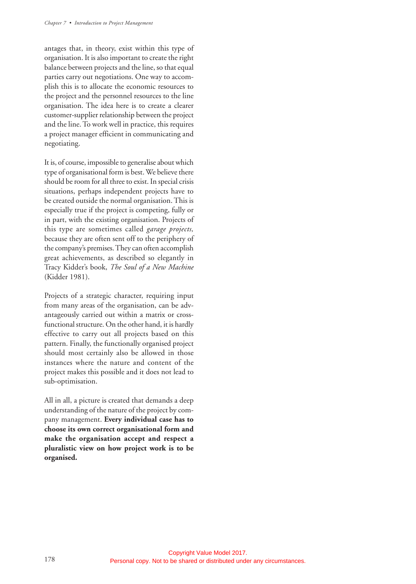antages that, in theory, exist within this type of organisation. It is also important to create the right balance between projects and the line, so that equal parties carry out negotiations. One way to accomplish this is to allocate the economic resources to the project and the personnel resources to the line organisation. The idea here is to create a clearer customer-supplier relationship between the project and the line. To work well in practice, this requires a project manager efficient in communicating and negotiating.

It is, of course, impossible to generalise about which type of organisational form is best. We believe there should be room for all three to exist. In special crisis situations, perhaps independent projects have to be created outside the normal organisation. This is especially true if the project is competing, fully or in part, with the existing organisation. Projects of this type are sometimes called *garage projects,* because they are often sent off to the periphery of the company's premises. They can often accomplish great achievements, as described so elegantly in Tracy Kidder's book, *The Soul of a New Machine* (Kidder 1981).

Projects of a strategic character, requiring input from many areas of the organisation, can be advantageously carried out within a matrix or crossfunctional structure. On the other hand, it is hardly effective to carry out all projects based on this pattern. Finally, the functionally organised project should most certainly also be allowed in those instances where the nature and content of the project makes this possible and it does not lead to sub-optimisation.

All in all, a picture is created that demands a deep understanding of the nature of the project by company management. **Every individual case has to choose its own correct organisational form and make the organisation accept and respect a pluralistic view on how project work is to be organised.**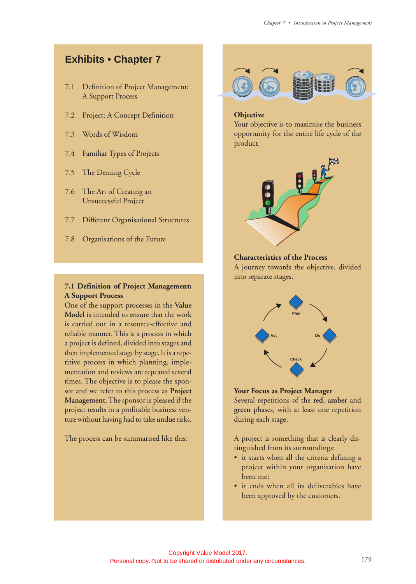## **Exhibits • Chapter 7**

- 7.1 Definition of Project Management: A Support Process
- 7.2 Project: A Concept Definition
- 7.3 Words of Wisdom
- 7.4 Familiar Types of Projects
- 7.5 The Deming Cycle
- 7.6 The Art of Creating an Unsuccessful Project
- 7.7 Different Organisational Structures
- 7.8 Organisations of the Future

#### **7.1 Definition of Project Management: A Support Process**

One of the support processes in the **Value Model** is intended to ensure that the work is carried out in a resource-effective and reliable manner. This is a process in which a project is defined, divided into stages and then implemented stage by stage. It is a repetitive process in which planning, implementation and reviews are repeated several times. The objective is to please the sponsor and we refer to this process as **Project Management**. The sponsor is pleased if the project results in a profitable business venture without having had to take undue risks.

The process can be summarised like this:



#### **Objective**

Your objective is to maximise the business opportunity for the entire life cycle of the product.



#### **Characteristics of the Process**

A journey towards the objective, divided into separate stages.



#### **Your Focus as Project Manager**

Several repetitions of the **red**, **amber** and **green** phases, with at least one repetition during each stage.

A project is something that is clearly distinguished from its surroundings:

- it starts when all the criteria defining a project within your organisation have been met
- it ends when all its deliverables have been approved by the customers.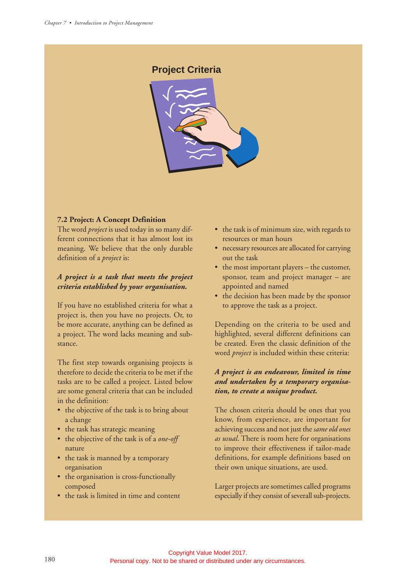#### **Project Criteria**



#### **7.2 Project: A Concept Definition**

The word *project* is used today in so many different connections that it has almost lost its meaning. We believe that the only durable definition of a *project* is:

#### *A project is a task that meets the project criteria established by your organisation.*

If you have no established criteria for what a project is, then you have no projects. Or, to be more accurate, anything can be defined as a project. The word lacks meaning and substance.

The first step towards organising projects is therefore to decide the criteria to be met if the tasks are to be called a project. Listed below are some general criteria that can be included in the definition:

- the objective of the task is to bring about a change
- the task has strategic meaning
- the objective of the task is of a *one-off* nature
- the task is manned by a temporary organisation
- the organisation is cross-functionally composed
- the task is limited in time and content
- the task is of minimum size, with regards to resources or man hours
- necessary resources are allocated for carrying out the task
- the most important players the customer, sponsor, team and project manager – are appointed and named
- the decision has been made by the sponsor to approve the task as a project.

Depending on the criteria to be used and highlighted, several different definitions can be created. Even the classic definition of the word *project* is included within these criteria:

#### *A project is an endeavour, limited in time and undertaken by a temporary organisation, to create a unique product.*

The chosen criteria should be ones that you know, from experience, are important for achieving success and not just the *same old ones as usual*. There is room here for organisations to improve their effectiveness if tailor-made definitions, for example definitions based on their own unique situations, are used.

Larger projects are sometimes called programs especially if they consist of severall sub-projects.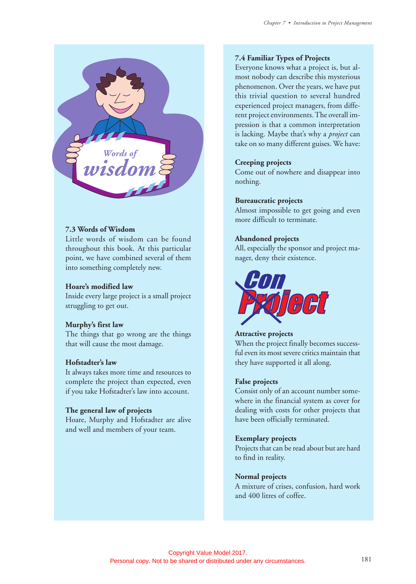

#### **7.3 Words of Wisdom**

Little words of wisdom can be found throughout this book. At this particular point, we have combined several of them into something completely new.

#### **Hoare's modified law**

Inside every large project is a small project struggling to get out.

#### **Murphy's first law**

The things that go wrong are the things that will cause the most damage.

#### **Hofstadter's law**

It always takes more time and resources to complete the project than expected, even if you take Hofstadter's law into account.

#### **The general law of projects**

Hoare, Murphy and Hofstadter are alive and well and members of your team.

#### **7.4 Familiar Types of Projects**

Everyone knows what a project is, but almost nobody can describe this mysterious phenomenon. Over the years, we have put this trivial question to several hundred experienced project managers, from different project environments. The overall impression is that a common interpretation is lacking. Maybe that's why a *project* can take on so many different guises. We have:

#### **Creeping projects**

Come out of nowhere and disappear into nothing.

#### **Bureaucratic projects**

Almost impossible to get going and even more difficult to terminate.

#### **Abandoned projects**

All, especially the sponsor and project manager, deny their existence.



#### **Attractive projects**

When the project finally becomes successful even its most severe critics maintain that they have supported it all along.

#### **False projects**

Consist only of an account number somewhere in the financial system as cover for dealing with costs for other projects that have been officially terminated.

#### **Exemplary projects**

Projects that can be read about but are hard to find in reality.

#### **Normal projects**

A mixture of crises, confusion, hard work and 400 litres of coffee.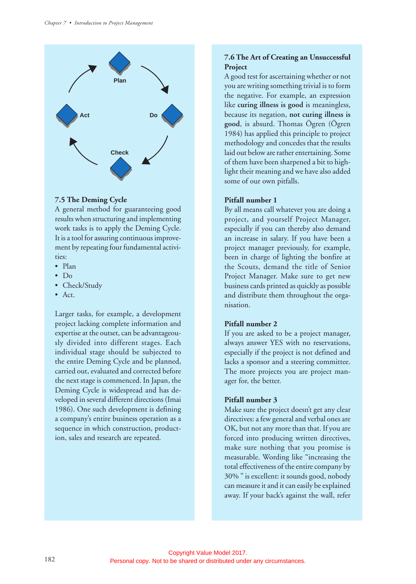

#### **7.5 The Deming Cycle**

A general method for guaranteeing good results when structuring and implementing work tasks is to apply the Deming Cycle. It is a tool for assuring continuous improvement by repeating four fundamental activities:

- Plan
- Do
- Check/Study
- Act.

Larger tasks, for example, a development project lacking complete information and expertise at the outset, can be advantageously divided into different stages. Each individual stage should be subjected to the entire Deming Cycle and be planned, carried out, evaluated and corrected before the next stage is commenced. In Japan, the Deming Cycle is widespread and has developed in several different directions (Imai 1986). One such development is defining a company's entire business operation as a sequence in which construction, production, sales and research are repeated.

#### **7.6 The Art of Creating an Unsuccessful Project**

A good test for ascertaining whether or not you are writing something trivial is to form the negative. For example, an expression like **curing illness is good** is meaningless, because its negation, **not curing illness is good**, is absurd. Thomas Ögren (Ögren 1984) has applied this principle to project methodology and concedes that the results laid out below are rather entertaining. Some of them have been sharpened a bit to highlight their meaning and we have also added some of our own pitfalls.

#### **Pitfall number 1**

By all means call whatever you are doing a project, and yourself Project Manager, especially if you can thereby also demand an increase in salary. If you have been a project manager previously, for example, been in charge of lighting the bonfire at the Scouts, demand the title of Senior Project Manager. Make sure to get new business cards printed as quickly as possible and distribute them throughout the organisation.

#### **Pitfall number 2**

If you are asked to be a project manager, always answer YES with no reservations, especially if the project is not defined and lacks a sponsor and a steering committee. The more projects you are project manager for, the better.

#### **Pitfall number 3**

Make sure the project doesn't get any clear directives: a few general and verbal ones are OK, but not any more than that. If you are forced into producing written directives, make sure nothing that you promise is measurable. Wording like "increasing the total effectiveness of the entire company by 30% " is excellent: it sounds good, nobody can measure it and it can easily be explained away. If your back's against the wall, refer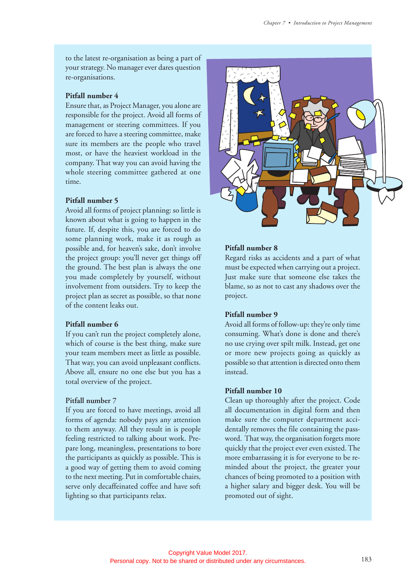to the latest re-organisation as being a part of your strategy. No manager ever dares question re-organisations.

#### **Pitfall number 4**

Ensure that, as Project Manager, you alone are responsible for the project. Avoid all forms of management or steering committees. If you are forced to have a steering committee, make sure its members are the people who travel most, or have the heaviest workload in the company. That way you can avoid having the whole steering committee gathered at one time.

#### **Pitfall number 5**

Avoid all forms of project planning: so little is known about what is going to happen in the future. If, despite this, you are forced to do some planning work, make it as rough as possible and, for heaven's sake, don't involve the project group: you'll never get things off the ground. The best plan is always the one you made completely by yourself, without involvement from outsiders. Try to keep the project plan as secret as possible, so that none of the content leaks out.

#### **Pitfall number 6**

If you can't run the project completely alone, which of course is the best thing, make sure your team members meet as little as possible. That way, you can avoid unpleasant conflicts. Above all, ensure no one else but you has a total overview of the project.

#### **Pitfall number 7**

If you are forced to have meetings, avoid all forms of agenda: nobody pays any attention to them anyway. All they result in is people feeling restricted to talking about work. Prepare long, meaningless, presentations to bore the participants as quickly as possible. This is a good way of getting them to avoid coming to the next meeting. Put in comfortable chairs, serve only decaffeinated coffee and have soft lighting so that participants relax.



#### **Pitfall number 8**

Regard risks as accidents and a part of what must be expected when carrying out a project. Just make sure that someone else takes the blame, so as not to cast any shadows over the project.

#### **Pitfall number 9**

Avoid all forms of follow-up: they're only time consuming. What's done is done and there's no use crying over spilt milk. Instead, get one or more new projects going as quickly as possible so that attention is directed onto them instead.

#### **Pitfall number 10**

Clean up thoroughly after the project. Code all documentation in digital form and then make sure the computer department accidentally removes the file containing the password. That way, the organisation forgets more quickly that the project ever even existed. The more embarrassing it is for everyone to be reminded about the project, the greater your chances of being promoted to a position with a higher salary and bigger desk. You will be promoted out of sight.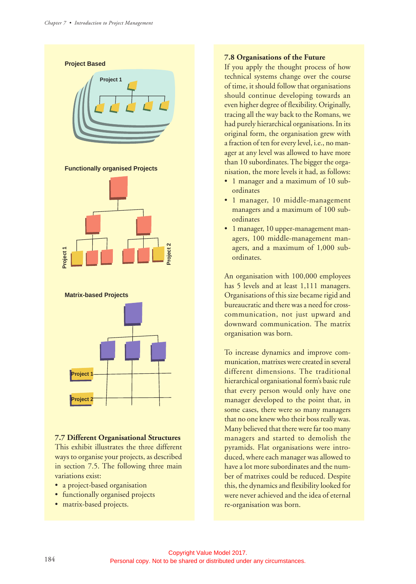

## **7.7 Different Organisational Structures**

This exhibit illustrates the three different ways to organise your projects, as described in section 7.5. The following three main variations exist:

- a project-based organisation
- functionally organised projects
- matrix-based projects.

#### **7.8 Organisations of the Future**

If you apply the thought process of how technical systems change over the course of time, it should follow that organisations should continue developing towards an even higher degree of flexibility. Originally, tracing all the way back to the Romans, we had purely hierarchical organisations. In its original form, the organisation grew with a fraction of ten for every level, i.e., no manager at any level was allowed to have more than 10 subordinates. The bigger the organisation, the more levels it had, as follows:

- 1 manager and a maximum of 10 subordinates
- 1 manager, 10 middle-management managers and a maximum of 100 subordinates
- 1 manager, 10 upper-management managers, 100 middle-management managers, and a maximum of 1,000 subordinates.

An organisation with 100,000 employees has 5 levels and at least 1,111 managers. Organisations of this size became rigid and bureaucratic and there was a need for crosscommunication, not just upward and downward communication. The matrix organisation was born.

To increase dynamics and improve communication, matrixes were created in several different dimensions. The traditional hierarchical organisational form's basic rule that every person would only have one manager developed to the point that, in some cases, there were so many managers that no one knew who their boss really was. Many believed that there were far too many managers and started to demolish the pyramids. Flat organisations were introduced, where each manager was allowed to have a lot more subordinates and the number of matrixes could be reduced. Despite this, the dynamics and flexibility looked for were never achieved and the idea of eternal re-organisation was born.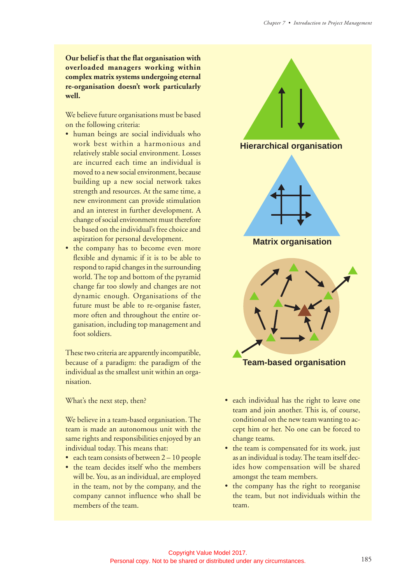**Our belief is that the flat organisation with overloaded managers working within complex matrix systems undergoing eternal re-organisation doesn't work particularly well.**

We believe future organisations must be based on the following criteria:

- human beings are social individuals who work best within a harmonious and relatively stable social environment. Losses are incurred each time an individual is moved to a new social environment, because building up a new social network takes strength and resources. At the same time, a new environment can provide stimulation and an interest in further development. A change of social environment must therefore be based on the individual's free choice and aspiration for personal development.
- the company has to become even more flexible and dynamic if it is to be able to respond to rapid changes in the surrounding world. The top and bottom of the pyramid change far too slowly and changes are not dynamic enough. Organisations of the future must be able to re-organise faster, more often and throughout the entire organisation, including top management and foot soldiers.

These two criteria are apparently incompatible, because of a paradigm: the paradigm of the individual as the smallest unit within an organisation.

What's the next step, then?

We believe in a team-based organisation. The team is made an autonomous unit with the same rights and responsibilities enjoyed by an individual today. This means that:

- each team consists of between  $2 10$  people
- the team decides itself who the members will be. You, as an individual, are employed in the team, not by the company, and the company cannot influence who shall be members of the team.



- each individual has the right to leave one team and join another. This is, of course, conditional on the new team wanting to accept him or her. No one can be forced to change teams.
- the team is compensated for its work, just as an individual is today. The team itself decides how compensation will be shared amongst the team members.
- the company has the right to reorganise the team, but not individuals within the team.